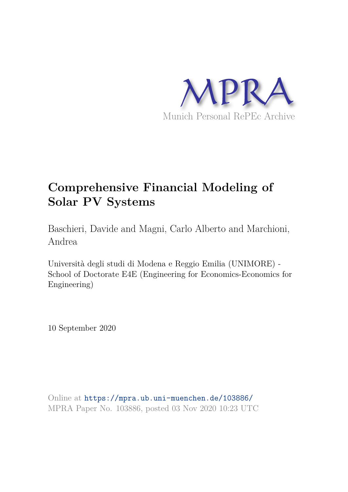

# **Comprehensive Financial Modeling of Solar PV Systems**

Baschieri, Davide and Magni, Carlo Alberto and Marchioni, Andrea

Università degli studi di Modena e Reggio Emilia (UNIMORE) - School of Doctorate E4E (Engineering for Economics-Economics for Engineering)

10 September 2020

Online at https://mpra.ub.uni-muenchen.de/103886/ MPRA Paper No. 103886, posted 03 Nov 2020 10:23 UTC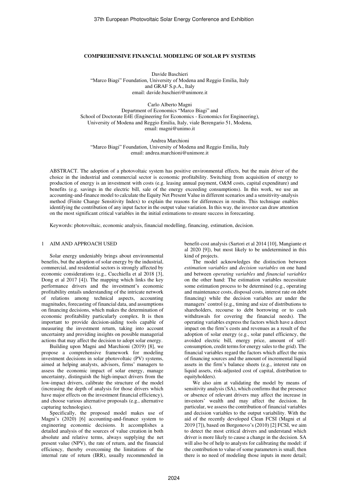# **COMPREHENSIVE FINANCIAL MODELING OF SOLAR PV SYSTEMS**

Davide Baschieri "Marco Biagi" Foundation, University of Modena and Reggio Emilia, Italy and GRAF S.p.A., Italy email: davide.baschieri@unimore.it

Carlo Alberto Magni Department of Economics "Marco Biagi" and School of Doctorate E4E (Engineering for Economics - Economics for Engineering), University of Modena and Reggio Emilia, Italy, viale Berengario 51, Modena, email[: magni@unimo.it](mailto:magni@unimo.it) 

Andrea Marchioni "Marco Biagi" Foundation, University of Modena and Reggio Emilia, Italy email: andrea.marchioni@unimore.it

ABSTRACT. The adoption of a photovoltaic system has positive environmental effects, but the main driver of the choice in the industrial and commercial sector is economic profitability. Switching from acquisition of energy to production of energy is an investment with costs (e.g. leasing annual payment, O&M costs, capital expenditure) and benefits (e.g. savings in the electric bill, sale of the energy exceeding consumptions). In this work, we use an accounting-and-finance model to calculate the Equity Net Present Value in different scenarios and a sensitivity-analysis method (Finite Change Sensitivity Index) to explain the reasons for differences in results. This technique enables identifying the contribution of any input factor in the output value variation. In this way, the investor can draw attention on the most significant critical variables in the initial estimations to ensure success in forecasting.

Keywords: photovoltaic, economic analysis, financial modelling, financing, estimation, decision.

## 1 AIM AND APPROACH USED

Solar energy undeniably brings about environmental benefits, but the adoption of solar energy by the industrial, commercial, and residential sectors is strongly affected by economic considerations (e.g., Cucchiella et al 2018 [3], Dong et al 2017 [4]). The mapping which links the key performance drivers and the investment's economic profitability entails understanding of the intricate network of relations among technical aspects, accounting magnitudes, forecasting of financial data, and assumptions on financing decisions, which makes the determination of economic profitability particularly complex. It is then important to provide decision-aiding tools capable of measuring the investment return, taking into account uncertainty and providing insights on possible managerial actions that may affect the decision to adopt solar energy.

Building upon Magni and Marchioni (2019) [8], we propose a comprehensive framework for modeling investment decisions in solar photovoltaic (PV) systems, aimed at helping analysts, advisors, firms' managers to assess the economic impact of solar energy, manage uncertainty, distinguish the high-impact drivers from the low-impact drivers, calibrate the structure of the model (increasing the depth of analysis for those drivers which have major effects on the investment financial efficiency), and choose various alternative proposals (e.g., alternative capturing technologies).

Specifically, the proposed model makes use of Magni's (2020) [6] accounting-and-finance system to engineering economic decisions. It accomplishes a detailed analysis of the sources of value creation in both absolute and relative terms, always supplying the net present value (NPV), the rate of return, and the financial efficiency, thereby overcoming the limitations of the internal rate of return (IRR), usually recommended in

benefit-cost analysis (Sartori et al 2014 [10], Mangiante et al 2020 [9]), but most likely to be undetermined in this kind of projects.

The model acknowledges the distinction between *estimation variables* and *decision variables* on one hand and between *operating variables* and *financial variables* on the other hand: The estimation variables necessitate some estimation process to be determined (e.g., operating and maintenance costs, disposal costs, interest rate on debt financing) while the decision variables are under the managers' control (e.g., timing and size of distributions to shareholders, recourse to debt borrowing or to cash withdrawals for covering the financial needs). The operating variables express the factors which have a direct impact on the firm's costs and revenues as a result of the adoption of solar energy (e.g., solar panel efficiency, the avoided electric bill, energy price, amount of selfconsumption, credit terms for energy sales to the grid). The financial variables regard the factors which affect the mix of financing sources and the amount of incremental liquid assets in the firm's balance sheets (e.g., interest rate on liquid assets, risk-adjusted cost of capital, distribution to equityholders).

We also aim at validating the model by means of sensitivity analysis (SA), which confirms that the presence or absence of relevant drivers may affect the increase in investors' wealth and may affect the decision. In particular, we assess the contribution of financial variables and decision variables to the output variability. With the aid of the recently developed Clean FCSI (Magni et al 2019 [7]), based on Borgonovo's (2010) [2] FCSI, we aim to detect the most critical drivers and understand which driver is more likely to cause a change in the decision. SA will also be of help to analysts for calibrating the model: if the contribution to value of some parameters is small, then there is no need of modeling those inputs in more detail;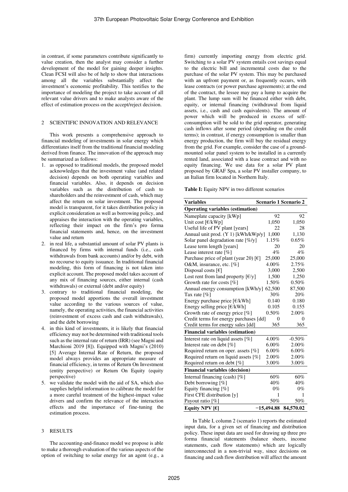in contrast, if some parameters contribute significantly to value creation, then the analyst may consider a further development of the model for gaining deeper insights. Clean FCSI will also be of help to show that interactions among all the variables substantially affect the investment's economic profitability. This testifies to the importance of modeling the project to take account of all relevant value drivers and to make analysts aware of the effect of estimation process on the accept/reject decision.

### 2 SCIENTIFIC INNOVATION AND RELEVANCE

This work presents a comprehensive approach to financial modeling of investments in solar energy which differentiates itself from the traditional financial modeling derived from finance. The innovation of the approach may be summarized as follows:

- 1. as opposed to traditional models, the proposed model acknowledges that the investment value (and related decision) depends on both operating variables and financial variables. Also, it depends on decision variables such as the distribution of cash to shareholders and the reinvestment of cash, which may affect the return on solar investment. The proposed model is transparent, for it takes distribution policy in explicit consideration as well as borrowing policy, and appraises the interaction with the operating variables, reflecting their impact on the firm's pro forma financial statements and, hence, on the investment value and return
- 2. in real life, a substantial amount of solar PV plants is financed by firms with internal funds (i.e., cash withdrawals from bank accounts) and/or by debt, with no recourse to equity issuance. In traditional financial modeling, this form of financing is not taken into explicit account. The proposed model takes account of any mix of financing sources, either internal (cash withdrawals) or external (debt and/or equity)
- 3. contrary to traditional financial modeling, the proposed model apportions the overall investment value according to the various sources of value, namely, the operating activities, the financial activities (reinvestment of excess cash and cash withdrawals), and the debt borrowing
- 4. in this kind of investments, it is likely that financial efficiency may not be determined with traditional tools such as the internal rate of return (IRR) (see Magni and Marchioni 2019 [8]). Equipped with Magni's (2010) [5] Average Internal Rate of Return, the proposed model always provides an appropriate measure of financial efficiency, in terms of Return On Investment (entity perspective) or Return On Equity (equity perspective)
- 5. we validate the model with the aid of SA, which also supplies helpful information to calibrate the model for a more careful treatment of the highest-impact value drivers and confirm the relevance of the interaction effects and the importance of fine-tuning the estimation process.

## 3 RESULTS

The accounting-and-finance model we propose is able to make a thorough evaluation of the various aspects of the option of switching to solar energy for an agent (e.g., a firm) currently importing energy from electric grid. Switching to a solar PV system entails cost savings equal to the electric bill and incremental costs due to the purchase of the solar PV system. This may be purchased with an upfront payment or, as frequently occurs, with lease contracts (or power purchase agreements); at the end of the contract, the lessee may pay a lump to acquire the plant. The lump sum will be financed either with debt, equity, or internal financing (withdrawal from liquid assets, i.e., cash and cash equivalents). The amount of power which will be produced in excess of selfconsumption will be sold to the grid operator, generating cash inflows after some period (depending on the credit terms); in contrast, if energy consumption is smaller than energy production, the firm will buy the residual energy from the grid. For example, consider the case of a groundmounted solar panel system to be installed in a currently rented land, associated with a lease contract and with no equity financing. We use data for a solar PV plant proposed by GRAF Spa, a solar PV installer company, to an Italian firm located in Northern Italy.

**Table I:** Equity NPV in two different scenarios

| <b>Variables</b>                                                  | Scenario 1 Scenario 2 |           |  |  |
|-------------------------------------------------------------------|-----------------------|-----------|--|--|
| <b>Operating variables (estimation)</b>                           |                       |           |  |  |
| Nameplate capacity [kWp]                                          | 92                    | 92        |  |  |
| Unit cost [€/kWp]                                                 | 1,050                 | 1,050     |  |  |
| Useful life of PV plant [years]                                   | 22                    | 28        |  |  |
| Annual unit prod. (Y 1) [kWh/kWp/y]                               | 1,000                 | 1,130     |  |  |
| Solar panel degradation rate $[\% / y]$                           | 1.15%                 | 0.65%     |  |  |
| Lease term length [years]                                         | 20                    | 20        |  |  |
| Lease interest rate [%]                                           | 4%                    | $4\%$     |  |  |
| Purchase price of plant (year 20) [ $\epsilon$ ]                  | 25,000                | 25,000    |  |  |
| O&M, insurance, etc. [%]                                          | 4.00%                 | 2.75%     |  |  |
| Disposal costs $\lceil \epsilon \rceil$                           | 3,000                 | 2,500     |  |  |
| Lost rent from land property $\lfloor \frac{\epsilon}{y} \rfloor$ | 1,500                 | 1,250     |  |  |
| Growth rate for costs $[\%]$                                      | 1.50%                 | 0.50%     |  |  |
| Annual energy consumption [kWh/y]                                 | 62,500                | 87,500    |  |  |
| Tax rate $\lceil \% \rceil$                                       | 30%                   | 20%       |  |  |
| Energy purchase price $\lceil \frac{\epsilon}{k}$ Wh              | 0.140                 | 0.180     |  |  |
| Energy selling price $[€/kWh]$                                    | 0.105                 | 0.155     |  |  |
| Growth rate of energy price $[\%]$                                | 0.50%                 | 2.00%     |  |  |
| Credit terms for energy purchases [dd]                            | $\theta$              | $\theta$  |  |  |
| Credit terms for energy sales [dd]                                | 365                   | 365       |  |  |
| <b>Financial variables (estimation)</b>                           |                       |           |  |  |
| Interest rate on liquid assets [%]                                | 4.00%                 | $-0.50%$  |  |  |
| Interest rate on debt [%]                                         | 6.00%                 | 2.00%     |  |  |
| Required return on oper. assets $[\%]$                            | 6.00%                 | $6.00\%$  |  |  |
| Required return on liquid assets [%]                              | $2.00\%$              | 2.00%     |  |  |
| Required return on debt [%]                                       | 3.00%                 | 3.00%     |  |  |
| <b>Financial variables (decision)</b>                             |                       |           |  |  |
| Internal financing (cash) $[\%]$                                  | 60%                   | 60%       |  |  |
| Debt borrowing $[\%]$                                             | 40%                   | 40%       |  |  |
| Equity financing [%]                                              | $0\%$                 | $0\%$     |  |  |
| First CFE distribution [y]                                        | 1                     | 1         |  |  |
| Payout ratio $[\%]$                                               | 50%                   | 50%       |  |  |
| Equity NPV $[6]$                                                  | $-15,494.88$          | 84,570.02 |  |  |

In Table I, column 2 (scenario 1) reports the estimated input data, for a given set of financing and distribution policy. These input data are used for drawing up three pro forma financial statements (balance sheets, income statements, cash flow statements) which are logically interconnected in a non-trivial way, since decisions on financing and cash flow distribution will affect the amount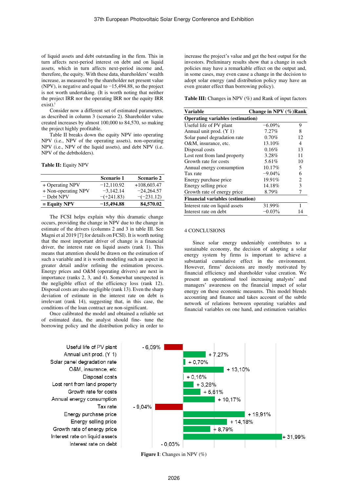of liquid assets and debt outstanding in the firm. This in turn affects next-period interest on debt and on liquid assets, which in turn affects next-period income and, therefore, the equity. With these data, shareholders' wealth increase, as measured by the shareholder net present value (NPV), is negative and equal to −15,494.88, so the project is not worth undertaking. (It is worth noting that neither the project IRR nor the operating IRR nor the equity IRR exist).<sup>i</sup>

Consider now a different set of estimated parameters, as described in column 3 (scenario 2). Shareholder value created increases by almost 100,000 to 84,570, so making the project highly profitable.

Table II breaks down the equity NPV into operating NPV (i.e., NPV of the operating assets), non-operating NPV (i.e., NPV of the liquid assets), and debt NPV (i.e. NPV of the debtholders).

## **Table II:** Equity NPV

|                     | Scenario 1   | <b>Scenario 2</b> |
|---------------------|--------------|-------------------|
| + Operating NPV     | $-12.110.92$ | $+108,603.47$     |
| + Non-operating NPV | $-3.142.14$  | $-24.264.57$      |
| $-$ Debt NPV        | $-(+241.83)$ | $-(-231.12)$      |
| $=$ Equity NPV      | $-15,494.88$ | 84,570.02         |

The FCSI helps explain why this dramatic change occurs, providing the change in NPV due to the change in estimate of the drivers (columns 2 and 3 in table III. See Magni et al 2019 [7] for details on FCSI). It is worth noting that the most important driver of change is a financial driver, the interest rate on liquid assets (rank 1). This means that attention should be drawn on the estimation of such a variable and it is worth modeling such an aspect in greater detail and/or refining the estimation process. Energy prices and O&M (operating drivers) are next in importance (ranks 2, 3, and 4). Somewhat unexpected is the negligible effect of the efficiency loss (rank 12). Disposal costs are also negligible (rank 13). Even the sharp deviation of estimate in the interest rate on debt is irrelevant (rank 14), suggesting that, in this case, the conditions of the loan contract are non-significant.

Once calibrated the model and obtained a reliable set of estimated data, the analyst should fine- tune the borrowing policy and the distribution policy in order to

Useful life of PV plant Annual unit prod. (Y 1) Solar panel degradation rate O&M. insurance, etc Disposal costs Lost rent from land property Growth rate for costs Annual energy consumption Tax rate Energy purchase price Energy selling price Growth rate of energy price Interest rate on liquid assets Interest rate on debt increase the project's value and get the best output for the investors. Preliminary results show that a change in such policies may have a remarkable effect on the output and, in some cases, may even cause a change in the decision to adopt solar energy (and distribution policy may have an even greater effect than borrowing policy).

**Table III:** Changes in NPV (%) and Rank of input factors

| <b>Variable</b>                         | Change in NPV $(\%)$ Rank |                |  |  |
|-----------------------------------------|---------------------------|----------------|--|--|
| <b>Operating variables (estimation)</b> |                           |                |  |  |
| Useful life of PV plant                 | $-6.09%$                  | 9              |  |  |
| Annual unit prod. (Y 1)                 | $7.27\%$                  | 8              |  |  |
| Solar panel degradation rate            | 0.70%                     | 12             |  |  |
| O&M, insurance, etc.                    | 13.10%                    | 4              |  |  |
| Disposal costs                          | 0.16%                     | 13             |  |  |
| Lost rent from land property            | 3.28%                     | 11             |  |  |
| Growth rate for costs                   | 5.61%                     | 10             |  |  |
| Annual energy consumption               | 10.17%                    | 5              |  |  |
| Tax rate                                | $-9.04%$                  | 6              |  |  |
| Energy purchase price                   | 19.91%                    | $\overline{c}$ |  |  |
| Energy selling price                    | 14.18%                    | 3              |  |  |
| Growth rate of energy price             | 8.79%                     | 7              |  |  |
| <b>Financial variables (estimation)</b> |                           |                |  |  |
| Interest rate on liquid assets          | 31.99%                    | 1              |  |  |
| Interest rate on debt                   | $-0.03%$                  | 14             |  |  |

### 4 CONCLUSIONS

Since solar energy undeniably contributes to a sustainable economy, the decision of adopting a solar energy system by firms is important to achieve a substantial cumulative effect in the environment. However, firms' decisions are mostly motivated by financial efficiency and shareholder value creation. We present an operational tool increasing analysts' and managers' awareness on the financial impact of solar energy on these economic measures. This model blends accounting and finance and takes account of the subtle network of relations between operating variables and financial variables on one hand, and estimation variables



**Figure I**: Changes in NPV (%)